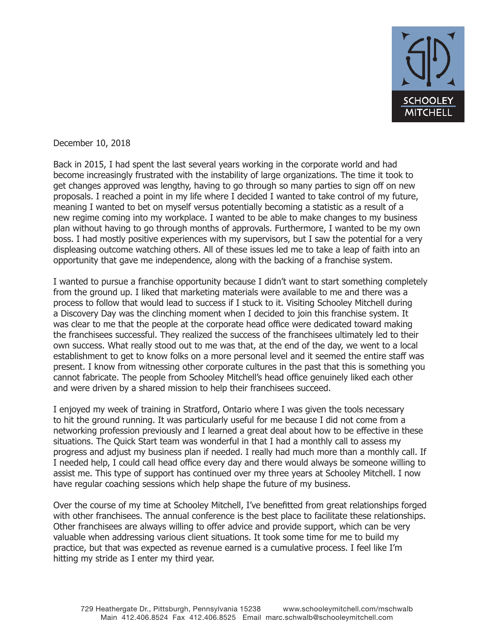

December 10, 2018

Back in 2015, I had spent the last several years working in the corporate world and had become increasingly frustrated with the instability of large organizations. The time it took to get changes approved was lengthy, having to go through so many parties to sign off on new proposals. I reached a point in my life where I decided I wanted to take control of my future, meaning I wanted to bet on myself versus potentially becoming a statistic as a result of a new regime coming into my workplace. I wanted to be able to make changes to my business plan without having to go through months of approvals. Furthermore, I wanted to be my own boss. I had mostly positive experiences with my supervisors, but I saw the potential for a very displeasing outcome watching others. All of these issues led me to take a leap of faith into an opportunity that gave me independence, along with the backing of a franchise system.

I wanted to pursue a franchise opportunity because I didn't want to start something completely from the ground up. I liked that marketing materials were available to me and there was a process to follow that would lead to success if I stuck to it. Visiting Schooley Mitchell during a Discovery Day was the clinching moment when I decided to join this franchise system. It was clear to me that the people at the corporate head office were dedicated toward making the franchisees successful. They realized the success of the franchisees ultimately led to their own success. What really stood out to me was that, at the end of the day, we went to a local establishment to get to know folks on a more personal level and it seemed the entire staff was present. I know from witnessing other corporate cultures in the past that this is something you cannot fabricate. The people from Schooley Mitchell's head office genuinely liked each other and were driven by a shared mission to help their franchisees succeed.

I enjoyed my week of training in Stratford, Ontario where I was given the tools necessary to hit the ground running. It was particularly useful for me because I did not come from a networking profession previously and I learned a great deal about how to be effective in these situations. The Quick Start team was wonderful in that I had a monthly call to assess my progress and adjust my business plan if needed. I really had much more than a monthly call. If I needed help, I could call head office every day and there would always be someone willing to assist me. This type of support has continued over my three years at Schooley Mitchell. I now have regular coaching sessions which help shape the future of my business.

Over the course of my time at Schooley Mitchell, I've benefitted from great relationships forged with other franchisees. The annual conference is the best place to facilitate these relationships. Other franchisees are always willing to offer advice and provide support, which can be very valuable when addressing various client situations. It took some time for me to build my practice, but that was expected as revenue earned is a cumulative process. I feel like I'm hitting my stride as I enter my third year.